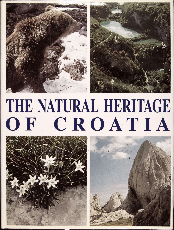



## IHE NATURAL HERITAGE OF CROATIA